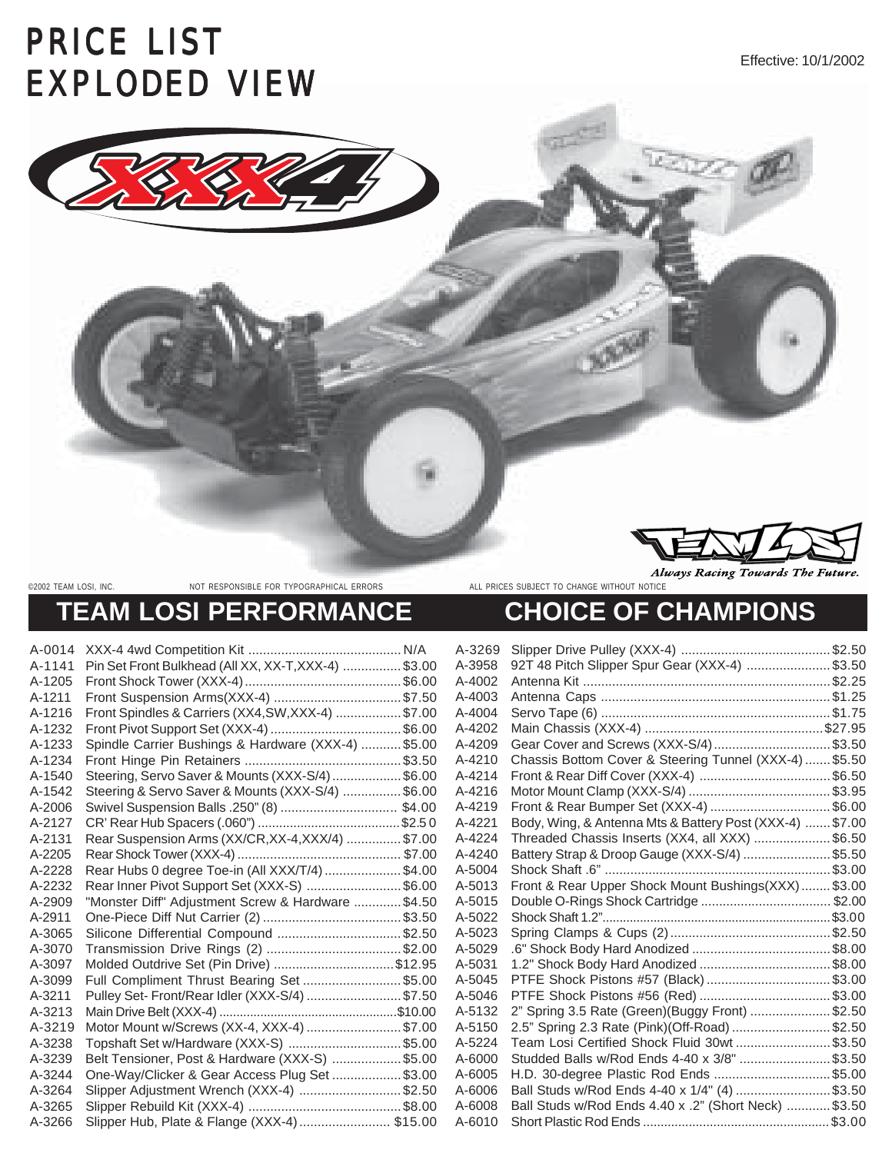## PRICE LIST EXPLODED VIEW



©2002 TEAM LOSI, INC. NOT RESPONSIBLE FOR TYPOGRAPHICAL ERRORS ALL PRICES SUBJECT TO CHANGE WITHOUT NOTICE

**Always Racing Towards 7** 

## **TEAM LOSI PERFORMANCE CHOICE OF CHAMPIONS**

| A-0014 |                                                      | A-3269 | Slip        |
|--------|------------------------------------------------------|--------|-------------|
| A-1141 | Pin Set Front Bulkhead (All XX, XX-T, XXX-4)  \$3.00 | A-3958 | 92T         |
| A-1205 |                                                      | A-4002 | <b>Ante</b> |
| A-1211 |                                                      | A-4003 | <b>Ante</b> |
| A-1216 | Front Spindles & Carriers (XX4, SW, XXX-4)  \$7.00   | A-4004 | Ser         |
| A-1232 |                                                      | A-4202 | Mai         |
| A-1233 | Spindle Carrier Bushings & Hardware (XXX-4)  \$5.00  | A-4209 | Gea         |
| A-1234 |                                                      | A-4210 | Cha         |
| A-1540 | Steering, Servo Saver & Mounts (XXX-S/4)  \$6.00     | A-4214 | Fror        |
| A-1542 | Steering & Servo Saver & Mounts (XXX-S/4)  \$6.00    | A-4216 | Mot         |
| A-2006 |                                                      | A-4219 | Fror        |
| A-2127 |                                                      | A-4221 | <b>Bod</b>  |
| A-2131 | Rear Suspension Arms (XX/CR, XX-4, XXX/4)  \$7.00    | A-4224 | <b>Thre</b> |
| A-2205 |                                                      | A-4240 | <b>Batt</b> |
| A-2228 | Rear Hubs 0 degree Toe-in (All XXX/T/4) \$4.00       | A-5004 | Sho         |
| A-2232 | Rear Inner Pivot Support Set (XXX-S) \$6.00          | A-5013 | Fror        |
| A-2909 | "Monster Diff" Adjustment Screw & Hardware  \$4.50   | A-5015 | Dou         |
| A-2911 |                                                      | A-5022 | Sho         |
| A-3065 | Silicone Differential Compound \$2.50                | A-5023 | Spri        |
| A-3070 |                                                      | A-5029 | .6"         |
| A-3097 | Molded Outdrive Set (Pin Drive) \$12.95              | A-5031 | 1.2"        |
| A-3099 | Full Compliment Thrust Bearing Set  \$5.00           | A-5045 | <b>PTF</b>  |
| A-3211 | Pulley Set- Front/Rear Idler (XXX-S/4)  \$7.50       | A-5046 | PTF         |
| A-3213 |                                                      | A-5132 | 2"S         |
| A-3219 | Motor Mount w/Screws (XX-4, XXX-4) \$7.00            | A-5150 | 2.5"        |
| A-3238 | Topshaft Set w/Hardware (XXX-S) \$5.00               | A-5224 | Tea         |
| A-3239 | Belt Tensioner, Post & Hardware (XXX-S)  \$5.00      | A-6000 | Stud        |
| A-3244 | One-Way/Clicker & Gear Access Plug Set  \$3.00       | A-6005 | H.D         |
| A-3264 | Slipper Adjustment Wrench (XXX-4) \$2.50             | A-6006 | Ball        |
| A-3265 |                                                      | A-6008 | Ball        |
| A-3266 | Slipper Hub, Plate & Flange (XXX-4) \$15.00          | A-6010 | Sho         |
|        |                                                      |        |             |

| A-3269 |                                                          |  |
|--------|----------------------------------------------------------|--|
| A-3958 | 92T 48 Pitch Slipper Spur Gear (XXX-4) \$3.50            |  |
| A-4002 |                                                          |  |
| A-4003 |                                                          |  |
| A-4004 |                                                          |  |
| A-4202 |                                                          |  |
| A-4209 | Gear Cover and Screws (XXX-S/4)\$3.50                    |  |
| A-4210 | Chassis Bottom Cover & Steering Tunnel (XXX-4)  \$5.50   |  |
| A-4214 |                                                          |  |
| A-4216 |                                                          |  |
| A-4219 | Front & Rear Bumper Set (XXX-4)  \$6.00                  |  |
| A-4221 | Body, Wing, & Antenna Mts & Battery Post (XXX-4)  \$7.00 |  |
| A-4224 | Threaded Chassis Inserts (XX4, all XXX) \$6.50           |  |
| A-4240 | Battery Strap & Droop Gauge (XXX-S/4) \$5.50             |  |
| A-5004 |                                                          |  |
| A-5013 | Front & Rear Upper Shock Mount Bushings(XXX) \$3.00      |  |
| A-5015 |                                                          |  |
| A-5022 |                                                          |  |
| A-5023 |                                                          |  |
| A-5029 |                                                          |  |
| A-5031 |                                                          |  |
| A-5045 | PTFE Shock Pistons #57 (Black) \$3.00                    |  |
| A-5046 |                                                          |  |
| A-5132 | 2" Spring 3.5 Rate (Green)(Buggy Front) \$2.50           |  |
| A-5150 | 2.5" Spring 2.3 Rate (Pink)(Off-Road) \$2.50             |  |
| A-5224 | Team Losi Certified Shock Fluid 30wt\$3.50               |  |
| A-6000 | Studded Balls w/Rod Ends 4-40 x 3/8" \$3.50              |  |
| A-6005 | H.D. 30-degree Plastic Rod Ends \$5.00                   |  |
| A-6006 | Ball Studs w/Rod Ends 4-40 x 1/4" (4) \$3.50             |  |
| A-6008 | Ball Studs w/Rod Ends 4.40 x .2" (Short Neck)  \$3.50    |  |
| A-6010 |                                                          |  |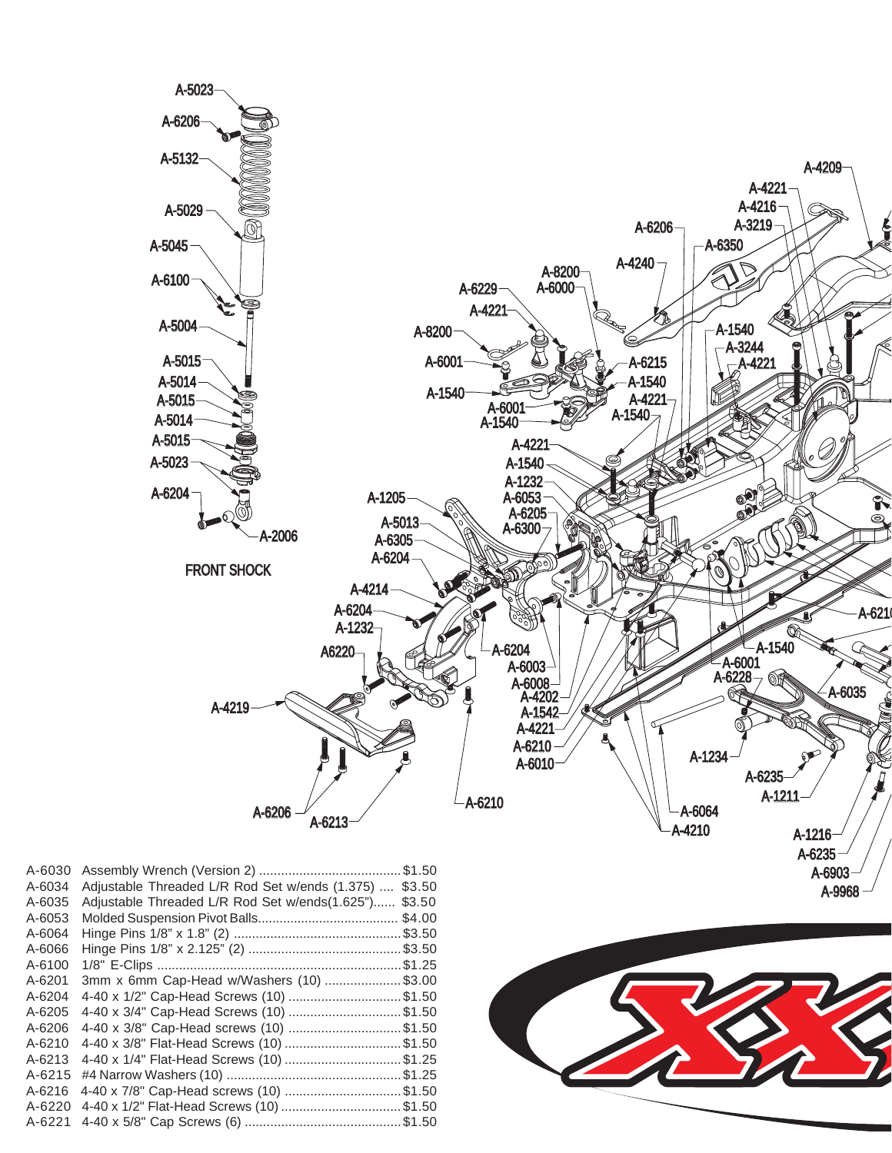

A-9968

| A-6030     |                                                |        |
|------------|------------------------------------------------|--------|
| A-6034     | Adjustable Threaded L/R Rod Set w/ends (1.375) | \$3.50 |
| A-6035     | Adjustable Threaded L/R Rod Set w/ends(1.625") | \$3.50 |
| A-6053     |                                                | \$4.00 |
| A-6064     |                                                |        |
| A-6066     |                                                |        |
| A-6100     |                                                |        |
| A-6201     | 3mm x 6mm Cap-Head w/Washers (10) \$3.00       |        |
| A-6204     | 4-40 x 1/2" Cap-Head Screws (10) \$1.50        |        |
| A-6205     | 4-40 x 3/4" Cap-Head Screws (10) \$1.50        |        |
| $A - 6206$ | 4-40 x 3/8" Cap-Head screws (10) \$1.50        |        |
| A-6210     | 4-40 x 3/8" Flat-Head Screws (10) \$1.50       |        |
| A-6213     | 4-40 x 1/4" Flat-Head Screws (10) \$1.25       |        |
| $A - 6215$ |                                                |        |
| A-6216     | 4-40 x 7/8" Cap-Head screws (10) \$1.50        |        |
| $A - 6220$ | 4-40 x 1/2" Flat-Head Screws (10) \$1.50       |        |
| $A - 6221$ |                                                |        |

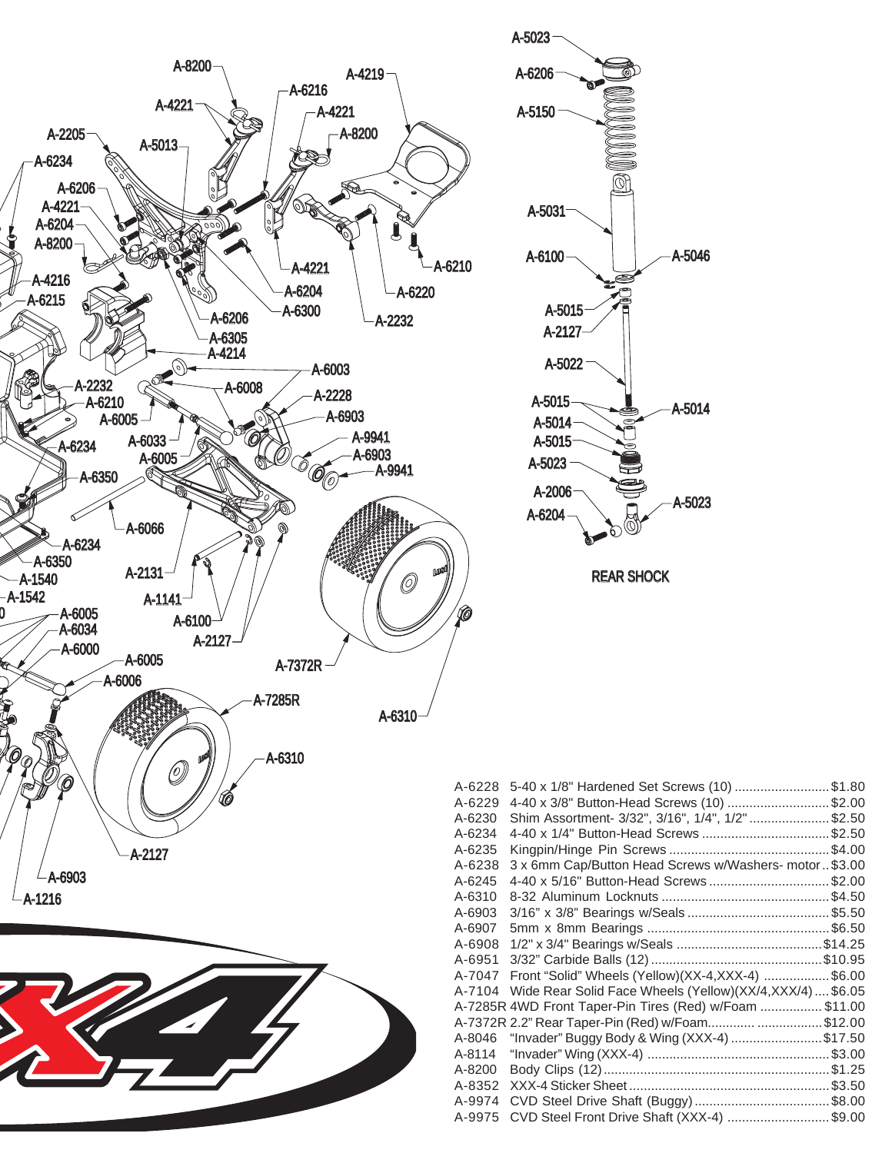

| $-5023$           |
|-------------------|
| A-6206            |
| A-5150<br>ര       |
| A-5031            |
| A-5046<br>A-6100  |
| A-5015            |
|                   |
| A-2127            |
| A-5022            |
| A-5015<br>A-5014  |
| A-5014            |
| A-5015            |
| A-5023            |
| A-2006            |
| A-5023            |
| A-6204            |
| <b>REAR SHOCK</b> |

| A-6228 | 5-40 x 1/8" Hardened Set Screws (10) \$1.80              |
|--------|----------------------------------------------------------|
| A-6229 | 4-40 x 3/8" Button-Head Screws (10) \$2.00               |
| A-6230 | Shim Assortment- 3/32", 3/16", 1/4", 1/2" \$2.50         |
| A-6234 | 4-40 x 1/4" Button-Head Screws \$2.50                    |
| A-6235 |                                                          |
| A-6238 | 3 x 6mm Cap/Button Head Screws w/Washers- motor  \$3.00  |
| A-6245 | 4-40 x 5/16" Button-Head Screws\$2.00                    |
| A-6310 |                                                          |
| A-6903 |                                                          |
| A-6907 |                                                          |
| A-6908 |                                                          |
| A-6951 |                                                          |
| A-7047 | Front "Solid" Wheels (Yellow)(XX-4,XXX-4) \$6.00         |
| A-7104 | Wide Rear Solid Face Wheels (Yellow)(XX/4,XXX/4)  \$6.05 |
|        | A-7285R 4WD Front Taper-Pin Tires (Red) w/Foam \$11.00   |
|        | A-7372R 2.2" Rear Taper-Pin (Red) w/Foam \$12.00         |
| A-8046 | "Invader" Buggy Body & Wing (XXX-4) \$17.50              |
| A-8114 |                                                          |
| A-8200 |                                                          |
| A-8352 |                                                          |
| A-9974 |                                                          |
| A-9975 | CVD Steel Front Drive Shaft (XXX-4) \$9.00               |
|        |                                                          |